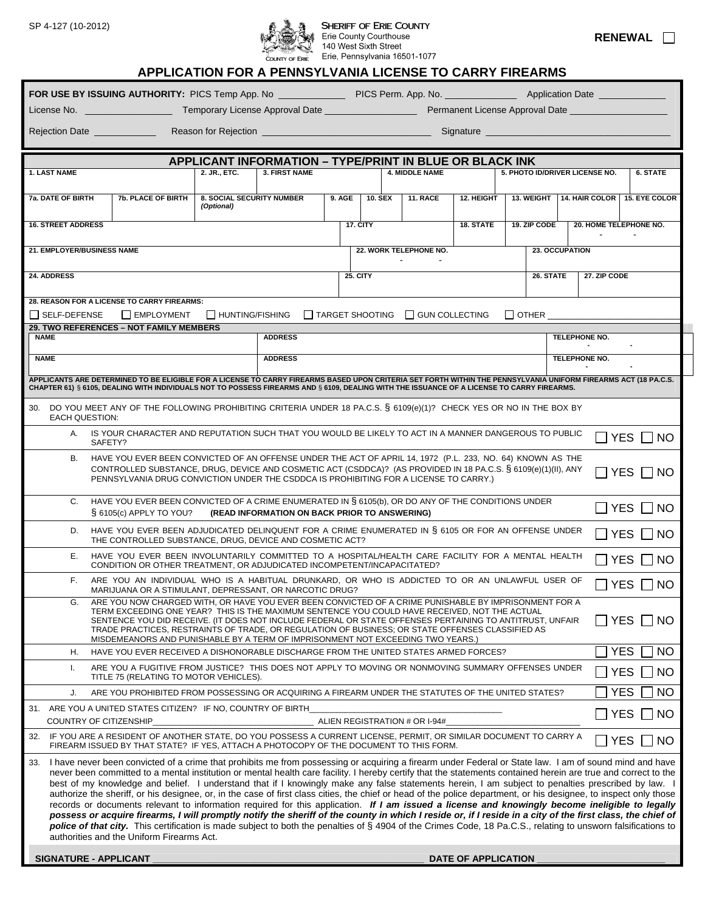

## $\mathfrak{H}\quad\mathfrak{F}\quad\mathfrak{F}\quad\mathfrak{F}\quad\mathfrak{F}\quad\mathfrak{H}\quad\mathfrak{H}\quad\mathfrak{H}\quad\mathfrak{H}\quad\mathfrak{H}\quad\mathfrak{H}\quad\mathfrak{H}\quad\mathfrak{H}\quad\mathfrak{H}\quad\mathfrak{H}\quad\mathfrak{H}\quad\mathfrak{H}\quad\mathfrak{H}\quad\mathfrak{H}\quad\mathfrak{H}\quad\mathfrak{H}\quad\mathfrak{H}\quad\mathfrak{H}\quad\mathfrak{H}\quad\mathfrak{H}\quad\mathfrak{H}\quad\mathfrak{H}\quad\mathfrak$  $\begin{array}{cc} \mathcal{L} \rightarrow \mathcal{L} \rightarrow \mathcal{L} \rightarrow \mathcal{L} \rightarrow \mathcal{L} \end{array}$  The Pennsylvania 16501-1077

| <b>RENEWAL</b> |
|----------------|
|----------------|

# **APPLICATION FOR A PENNSYLVANIA LICENSE TO CARRY FIREARMS**

| License No. 2008 and 2008 and 2008 and 2008                                                                                                                                                                                                                                                                                                                                                                                                                                                                                                                                                                                                                                                                                                                                                                                                                                                                                                                                                                                                                                                                                                                                             |                                                                                                                                                                                                                                                                                                                                                                                                                                                                                                                                                                                           |                                                |                                                         |        |                 |                                              |            |  |              |                                             |                           |
|-----------------------------------------------------------------------------------------------------------------------------------------------------------------------------------------------------------------------------------------------------------------------------------------------------------------------------------------------------------------------------------------------------------------------------------------------------------------------------------------------------------------------------------------------------------------------------------------------------------------------------------------------------------------------------------------------------------------------------------------------------------------------------------------------------------------------------------------------------------------------------------------------------------------------------------------------------------------------------------------------------------------------------------------------------------------------------------------------------------------------------------------------------------------------------------------|-------------------------------------------------------------------------------------------------------------------------------------------------------------------------------------------------------------------------------------------------------------------------------------------------------------------------------------------------------------------------------------------------------------------------------------------------------------------------------------------------------------------------------------------------------------------------------------------|------------------------------------------------|---------------------------------------------------------|--------|-----------------|----------------------------------------------|------------|--|--------------|---------------------------------------------|---------------------------|
| Signature<br>Rejection Date _____________                                                                                                                                                                                                                                                                                                                                                                                                                                                                                                                                                                                                                                                                                                                                                                                                                                                                                                                                                                                                                                                                                                                                               |                                                                                                                                                                                                                                                                                                                                                                                                                                                                                                                                                                                           |                                                |                                                         |        |                 |                                              |            |  |              |                                             |                           |
|                                                                                                                                                                                                                                                                                                                                                                                                                                                                                                                                                                                                                                                                                                                                                                                                                                                                                                                                                                                                                                                                                                                                                                                         |                                                                                                                                                                                                                                                                                                                                                                                                                                                                                                                                                                                           |                                                |                                                         |        |                 |                                              |            |  |              |                                             |                           |
|                                                                                                                                                                                                                                                                                                                                                                                                                                                                                                                                                                                                                                                                                                                                                                                                                                                                                                                                                                                                                                                                                                                                                                                         |                                                                                                                                                                                                                                                                                                                                                                                                                                                                                                                                                                                           |                                                | APPLICANT INFORMATION - TYPE/PRINT IN BLUE OR BLACK INK |        |                 |                                              |            |  |              |                                             |                           |
| <b>1. LAST NAME</b>                                                                                                                                                                                                                                                                                                                                                                                                                                                                                                                                                                                                                                                                                                                                                                                                                                                                                                                                                                                                                                                                                                                                                                     |                                                                                                                                                                                                                                                                                                                                                                                                                                                                                                                                                                                           | 2. JR., ETC.                                   | <b>3. FIRST NAME</b>                                    |        |                 | 4. MIDDLE NAME                               |            |  |              | 5. PHOTO ID/DRIVER LICENSE NO.              | <b>6. STATE</b>           |
| <b>7a. DATE OF BIRTH</b>                                                                                                                                                                                                                                                                                                                                                                                                                                                                                                                                                                                                                                                                                                                                                                                                                                                                                                                                                                                                                                                                                                                                                                | <b>7b. PLACE OF BIRTH</b>                                                                                                                                                                                                                                                                                                                                                                                                                                                                                                                                                                 | <b>8. SOCIAL SECURITY NUMBER</b><br>(Optional) |                                                         | 9. AGE | <b>10. SEX</b>  | 11. RACE                                     | 12. HEIGHT |  |              | 13. WEIGHT   14. HAIR COLOR   15. EYE COLOR |                           |
| <b>16. STREET ADDRESS</b>                                                                                                                                                                                                                                                                                                                                                                                                                                                                                                                                                                                                                                                                                                                                                                                                                                                                                                                                                                                                                                                                                                                                                               |                                                                                                                                                                                                                                                                                                                                                                                                                                                                                                                                                                                           |                                                |                                                         |        | 17. CITY        |                                              | 18. STATE  |  | 19. ZIP CODE | 20. HOME TELEPHONE NO.                      |                           |
| 21. EMPLOYER/BUSINESS NAME                                                                                                                                                                                                                                                                                                                                                                                                                                                                                                                                                                                                                                                                                                                                                                                                                                                                                                                                                                                                                                                                                                                                                              |                                                                                                                                                                                                                                                                                                                                                                                                                                                                                                                                                                                           |                                                |                                                         |        |                 | 22. WORK TELEPHONE NO.                       |            |  |              | 23. OCCUPATION                              |                           |
| 24. ADDRESS                                                                                                                                                                                                                                                                                                                                                                                                                                                                                                                                                                                                                                                                                                                                                                                                                                                                                                                                                                                                                                                                                                                                                                             |                                                                                                                                                                                                                                                                                                                                                                                                                                                                                                                                                                                           |                                                |                                                         |        | <b>25. CITY</b> |                                              |            |  | 26. STATE    | 27. ZIP CODE                                |                           |
| 28. REASON FOR A LICENSE TO CARRY FIREARMS:                                                                                                                                                                                                                                                                                                                                                                                                                                                                                                                                                                                                                                                                                                                                                                                                                                                                                                                                                                                                                                                                                                                                             |                                                                                                                                                                                                                                                                                                                                                                                                                                                                                                                                                                                           |                                                |                                                         |        |                 |                                              |            |  |              |                                             |                           |
| $\Box$ SELF-DEFENSE                                                                                                                                                                                                                                                                                                                                                                                                                                                                                                                                                                                                                                                                                                                                                                                                                                                                                                                                                                                                                                                                                                                                                                     | EMPLOYMENT<br>29. TWO REFERENCES - NOT FAMILY MEMBERS                                                                                                                                                                                                                                                                                                                                                                                                                                                                                                                                     | $\Box$ HUNTING/FISHING                         |                                                         |        |                 | $\Box$ TARGET SHOOTING $\Box$ GUN COLLECTING |            |  | $\Box$ other |                                             |                           |
| <b>NAME</b>                                                                                                                                                                                                                                                                                                                                                                                                                                                                                                                                                                                                                                                                                                                                                                                                                                                                                                                                                                                                                                                                                                                                                                             |                                                                                                                                                                                                                                                                                                                                                                                                                                                                                                                                                                                           |                                                | <b>ADDRESS</b>                                          |        |                 |                                              |            |  |              | TELEPHONE NO.                               |                           |
| <b>NAME</b>                                                                                                                                                                                                                                                                                                                                                                                                                                                                                                                                                                                                                                                                                                                                                                                                                                                                                                                                                                                                                                                                                                                                                                             |                                                                                                                                                                                                                                                                                                                                                                                                                                                                                                                                                                                           |                                                | <b>ADDRESS</b>                                          |        |                 |                                              |            |  |              | TELEPHONE NO.                               |                           |
|                                                                                                                                                                                                                                                                                                                                                                                                                                                                                                                                                                                                                                                                                                                                                                                                                                                                                                                                                                                                                                                                                                                                                                                         | APPLICANTS ARE DETERMINED TO BE ELIGIBLE FOR A LICENSE TO CARRY FIREARMS BASED UPON CRITERIA SET FORTH WITHIN THE PENNSYLVANIA UNIFORM FIREARMS ACT (18 PA.C.S.<br>CHAPTER 61) § 6105, DEALING WITH INDIVIDUALS NOT TO POSSESS FIREARMS AND § 6109, DEALING WITH THE ISSUANCE OF A LICENSE TO CARRY FIREARMS.                                                                                                                                                                                                                                                                             |                                                |                                                         |        |                 |                                              |            |  |              |                                             |                           |
| <b>EACH QUESTION:</b>                                                                                                                                                                                                                                                                                                                                                                                                                                                                                                                                                                                                                                                                                                                                                                                                                                                                                                                                                                                                                                                                                                                                                                   | 30. DO YOU MEET ANY OF THE FOLLOWING PROHIBITING CRITERIA UNDER 18 PA.C.S. § 6109(e)(1)? CHECK YES OR NO IN THE BOX BY                                                                                                                                                                                                                                                                                                                                                                                                                                                                    |                                                |                                                         |        |                 |                                              |            |  |              |                                             |                           |
|                                                                                                                                                                                                                                                                                                                                                                                                                                                                                                                                                                                                                                                                                                                                                                                                                                                                                                                                                                                                                                                                                                                                                                                         | A. IS YOUR CHARACTER AND REPUTATION SUCH THAT YOU WOULD BE LIKELY TO ACT IN A MANNER DANGEROUS TO PUBLIC<br>SAFETY?                                                                                                                                                                                                                                                                                                                                                                                                                                                                       |                                                |                                                         |        |                 |                                              |            |  |              |                                             | ∃YES ⊓ NO                 |
| В.                                                                                                                                                                                                                                                                                                                                                                                                                                                                                                                                                                                                                                                                                                                                                                                                                                                                                                                                                                                                                                                                                                                                                                                      | HAVE YOU EVER BEEN CONVICTED OF AN OFFENSE UNDER THE ACT OF APRIL 14, 1972 (P.L. 233, NO. 64) KNOWN AS THE<br>CONTROLLED SUBSTANCE, DRUG, DEVICE AND COSMETIC ACT (CSDDCA)? (AS PROVIDED IN 18 PA.C.S. § 6109(e)(1)(II), ANY<br>I I YES I<br>⊟ NO<br>PENNSYLVANIA DRUG CONVICTION UNDER THE CSDDCA IS PROHIBITING FOR A LICENSE TO CARRY.)                                                                                                                                                                                                                                                |                                                |                                                         |        |                 |                                              |            |  |              |                                             |                           |
| C.                                                                                                                                                                                                                                                                                                                                                                                                                                                                                                                                                                                                                                                                                                                                                                                                                                                                                                                                                                                                                                                                                                                                                                                      | HAVE YOU EVER BEEN CONVICTED OF A CRIME ENUMERATED IN § 6105(b), OR DO ANY OF THE CONDITIONS UNDER<br><b>TYES</b><br>$\overline{\phantom{a}}$ NO<br>§ 6105(c) APPLY TO YOU? (READ INFORMATION ON BACK PRIOR TO ANSWERING)                                                                                                                                                                                                                                                                                                                                                                 |                                                |                                                         |        |                 |                                              |            |  |              |                                             |                           |
| D.                                                                                                                                                                                                                                                                                                                                                                                                                                                                                                                                                                                                                                                                                                                                                                                                                                                                                                                                                                                                                                                                                                                                                                                      | HAVE YOU EVER BEEN ADJUDICATED DELINQUENT FOR A CRIME ENUMERATED IN § 6105 OR FOR AN OFFENSE UNDER<br>$\sqcap$ yes $\sqcap$ no<br>THE CONTROLLED SUBSTANCE, DRUG, DEVICE AND COSMETIC ACT?                                                                                                                                                                                                                                                                                                                                                                                                |                                                |                                                         |        |                 |                                              |            |  |              |                                             |                           |
| Е.                                                                                                                                                                                                                                                                                                                                                                                                                                                                                                                                                                                                                                                                                                                                                                                                                                                                                                                                                                                                                                                                                                                                                                                      | HAVE YOU EVER BEEN INVOLUNTARILY COMMITTED TO A HOSPITAL/HEALTH CARE FACILITY FOR A MENTAL HEALTH<br><b>YES</b><br> NO<br>CONDITION OR OTHER TREATMENT. OR ADJUDICATED INCOMPETENT/INCAPACITATED?                                                                                                                                                                                                                                                                                                                                                                                         |                                                |                                                         |        |                 |                                              |            |  |              |                                             |                           |
| F.                                                                                                                                                                                                                                                                                                                                                                                                                                                                                                                                                                                                                                                                                                                                                                                                                                                                                                                                                                                                                                                                                                                                                                                      | ARE YOU AN INDIVIDUAL WHO IS A HABITUAL DRUNKARD, OR WHO IS ADDICTED TO OR AN UNLAWFUL USER OF                                                                                                                                                                                                                                                                                                                                                                                                                                                                                            |                                                |                                                         |        |                 |                                              |            |  |              | $\Box$ YES                                  | NO.                       |
| G.                                                                                                                                                                                                                                                                                                                                                                                                                                                                                                                                                                                                                                                                                                                                                                                                                                                                                                                                                                                                                                                                                                                                                                                      | MARIJUANA OR A STIMULANT, DEPRESSANT, OR NARCOTIC DRUG?<br>ARE YOU NOW CHARGED WITH, OR HAVE YOU EVER BEEN CONVICTED OF A CRIME PUNISHABLE BY IMPRISONMENT FOR A<br>TERM EXCEEDING ONE YEAR? THIS IS THE MAXIMUM SENTENCE YOU COULD HAVE RECEIVED, NOT THE ACTUAL<br><b>YES</b><br> NO<br>SENTENCE YOU DID RECEIVE. (IT DOES NOT INCLUDE FEDERAL OR STATE OFFENSES PERTAINING TO ANTITRUST, UNFAIR<br>TRADE PRACTICES, RESTRAINTS OF TRADE, OR REGULATION OF BUSINESS; OR STATE OFFENSES CLASSIFIED AS<br>MISDEMEANORS AND PUNISHABLE BY A TERM OF IMPRISONMENT NOT EXCEEDING TWO YEARS.) |                                                |                                                         |        |                 |                                              |            |  |              |                                             |                           |
| Η.                                                                                                                                                                                                                                                                                                                                                                                                                                                                                                                                                                                                                                                                                                                                                                                                                                                                                                                                                                                                                                                                                                                                                                                      | HAVE YOU EVER RECEIVED A DISHONORABLE DISCHARGE FROM THE UNITED STATES ARMED FORCES?                                                                                                                                                                                                                                                                                                                                                                                                                                                                                                      |                                                |                                                         |        |                 |                                              |            |  |              |                                             | <b>YES</b><br>NO.         |
| I.                                                                                                                                                                                                                                                                                                                                                                                                                                                                                                                                                                                                                                                                                                                                                                                                                                                                                                                                                                                                                                                                                                                                                                                      | ARE YOU A FUGITIVE FROM JUSTICE? THIS DOES NOT APPLY TO MOVING OR NONMOVING SUMMARY OFFENSES UNDER<br><b>YES</b><br>TITLE 75 (RELATING TO MOTOR VEHICLES).                                                                                                                                                                                                                                                                                                                                                                                                                                |                                                |                                                         |        |                 |                                              | NO         |  |              |                                             |                           |
| J.                                                                                                                                                                                                                                                                                                                                                                                                                                                                                                                                                                                                                                                                                                                                                                                                                                                                                                                                                                                                                                                                                                                                                                                      | ARE YOU PROHIBITED FROM POSSESSING OR ACQUIRING A FIREARM UNDER THE STATUTES OF THE UNITED STATES?                                                                                                                                                                                                                                                                                                                                                                                                                                                                                        |                                                |                                                         |        |                 |                                              |            |  |              |                                             | <b>YES</b><br>NO          |
|                                                                                                                                                                                                                                                                                                                                                                                                                                                                                                                                                                                                                                                                                                                                                                                                                                                                                                                                                                                                                                                                                                                                                                                         | 31. ARE YOU A UNITED STATES CITIZEN? IF NO, COUNTRY OF BIRTH<br>COUNTRY OF CITIZENSHIP                                                                                                                                                                                                                                                                                                                                                                                                                                                                                                    |                                                |                                                         |        |                 | ALIEN REGISTRATION # OR I-94#                |            |  |              |                                             | <b>YES</b><br>$\sqcap$ NO |
| 32.                                                                                                                                                                                                                                                                                                                                                                                                                                                                                                                                                                                                                                                                                                                                                                                                                                                                                                                                                                                                                                                                                                                                                                                     | IF YOU ARE A RESIDENT OF ANOTHER STATE, DO YOU POSSESS A CURRENT LICENSE, PERMIT, OR SIMILAR DOCUMENT TO CARRY A<br>FIREARM ISSUED BY THAT STATE? IF YES, ATTACH A PHOTOCOPY OF THE DOCUMENT TO THIS FORM.                                                                                                                                                                                                                                                                                                                                                                                |                                                |                                                         |        |                 |                                              |            |  |              |                                             | $YES \Box NO$             |
| 33. I have never been convicted of a crime that prohibits me from possessing or acquiring a firearm under Federal or State law. I am of sound mind and have<br>never been committed to a mental institution or mental health care facility. I hereby certify that the statements contained herein are true and correct to the<br>best of my knowledge and belief. I understand that if I knowingly make any false statements herein, I am subject to penalties prescribed by law. I<br>authorize the sheriff, or his designee, or, in the case of first class cities, the chief or head of the police department, or his designee, to inspect only those<br>records or documents relevant to information required for this application. If I am issued a license and knowingly become ineligible to legally<br>possess or acquire firearms, I will promptly notify the sheriff of the county in which I reside or, if I reside in a city of the first class, the chief of<br>police of that city. This certification is made subject to both the penalties of § 4904 of the Crimes Code, 18 Pa.C.S., relating to unsworn falsifications to<br>authorities and the Uniform Firearms Act. |                                                                                                                                                                                                                                                                                                                                                                                                                                                                                                                                                                                           |                                                |                                                         |        |                 |                                              |            |  |              |                                             |                           |

**SIGNATURE - APPLICANT \_\_\_\_\_\_\_\_\_\_\_\_\_\_\_\_\_\_\_\_\_\_\_\_\_\_\_\_\_\_\_\_\_\_\_\_\_\_\_\_\_\_\_\_\_\_\_\_\_\_\_\_\_ DATE OF APPLICATION \_\_\_\_\_\_\_\_\_\_\_\_\_\_\_\_\_\_\_\_\_\_\_\_\_**